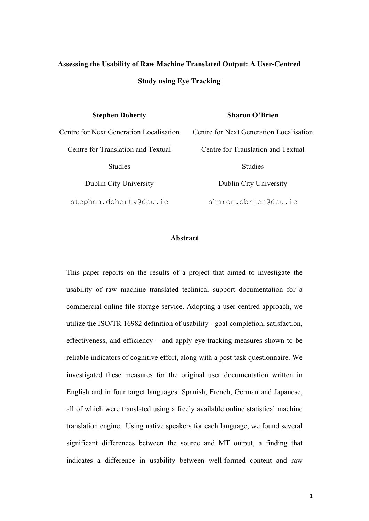# **Assessing the Usability of Raw Machine Translated Output: A User-Centred Study using Eye Tracking**

| <b>Stephen Doherty</b> |  |
|------------------------|--|
|------------------------|--|

## **Sharon O'Brien**

Centre for Translation and Textual Studies

stephen.doherty@dcu.ie sharon.obrien@dcu.ie

Centre for Next Generation Localisation Centre for Next Generation Localisation Centre for Translation and Textual Studies Dublin City University Dublin City University

## **Abstract**

This paper reports on the results of a project that aimed to investigate the usability of raw machine translated technical support documentation for a commercial online file storage service. Adopting a user-centred approach, we utilize the ISO/TR 16982 definition of usability - goal completion, satisfaction, effectiveness, and efficiency – and apply eye-tracking measures shown to be reliable indicators of cognitive effort, along with a post-task questionnaire. We investigated these measures for the original user documentation written in English and in four target languages: Spanish, French, German and Japanese, all of which were translated using a freely available online statistical machine translation engine. Using native speakers for each language, we found several significant differences between the source and MT output, a finding that indicates a difference in usability between well-formed content and raw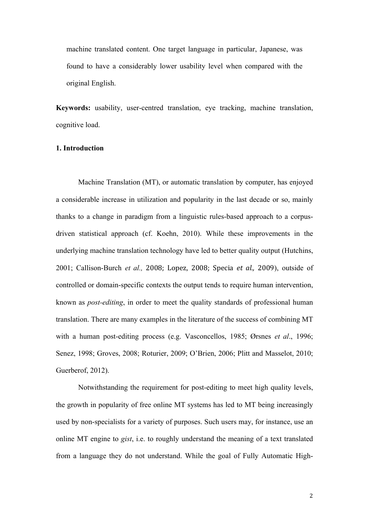machine translated content. One target language in particular, Japanese, was found to have a considerably lower usability level when compared with the original English.

**Keywords:** usability, user-centred translation, eye tracking, machine translation, cognitive load.

# **1. Introduction**

Machine Translation (MT), or automatic translation by computer, has enjoyed a considerable increase in utilization and popularity in the last decade or so, mainly thanks to a change in paradigm from a linguistic rules-based approach to a corpusdriven statistical approach (cf. Koehn, 2010). While these improvements in the underlying machine translation technology have led to better quality output (Hutchins, 2001; Callison-Burch *et al.*, 2008; Lopez, 2008; Specia *et al.*, 2009), outside of controlled or domain-specific contexts the output tends to require human intervention, known as *post-editing*, in order to meet the quality standards of professional human translation. There are many examples in the literature of the success of combining MT with a human post-editing process (e.g. Vasconcellos, 1985; Ørsnes *et al*., 1996; Senez, 1998; Groves, 2008; Roturier, 2009; O'Brien, 2006; Plitt and Masselot, 2010; Guerberof, 2012).

Notwithstanding the requirement for post-editing to meet high quality levels, the growth in popularity of free online MT systems has led to MT being increasingly used by non-specialists for a variety of purposes. Such users may, for instance, use an online MT engine to *gist*, i.e. to roughly understand the meaning of a text translated from a language they do not understand. While the goal of Fully Automatic High-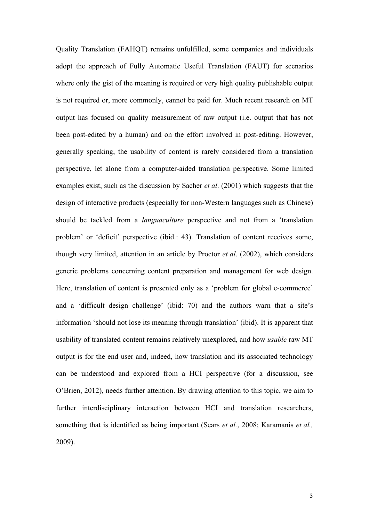Quality Translation (FAHQT) remains unfulfilled, some companies and individuals adopt the approach of Fully Automatic Useful Translation (FAUT) for scenarios where only the gist of the meaning is required or very high quality publishable output is not required or, more commonly, cannot be paid for. Much recent research on MT output has focused on quality measurement of raw output (i.e. output that has not been post-edited by a human) and on the effort involved in post-editing. However, generally speaking, the usability of content is rarely considered from a translation perspective, let alone from a computer-aided translation perspective. Some limited examples exist, such as the discussion by Sacher *et al*. (2001) which suggests that the design of interactive products (especially for non-Western languages such as Chinese) should be tackled from a *languaculture* perspective and not from a 'translation problem' or 'deficit' perspective (ibid.: 43). Translation of content receives some, though very limited, attention in an article by Proctor *et al*. (2002), which considers generic problems concerning content preparation and management for web design. Here, translation of content is presented only as a 'problem for global e-commerce' and a 'difficult design challenge' (ibid: 70) and the authors warn that a site's information 'should not lose its meaning through translation' (ibid). It is apparent that usability of translated content remains relatively unexplored, and how *usable* raw MT output is for the end user and, indeed, how translation and its associated technology can be understood and explored from a HCI perspective (for a discussion, see O'Brien, 2012), needs further attention. By drawing attention to this topic, we aim to further interdisciplinary interaction between HCI and translation researchers, something that is identified as being important (Sears *et al.*, 2008; Karamanis *et al.,*  2009).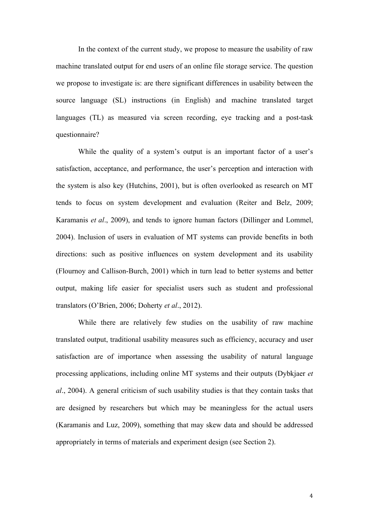In the context of the current study, we propose to measure the usability of raw machine translated output for end users of an online file storage service. The question we propose to investigate is: are there significant differences in usability between the source language (SL) instructions (in English) and machine translated target languages (TL) as measured via screen recording, eye tracking and a post-task questionnaire?

While the quality of a system's output is an important factor of a user's satisfaction, acceptance, and performance, the user's perception and interaction with the system is also key (Hutchins, 2001), but is often overlooked as research on MT tends to focus on system development and evaluation (Reiter and Belz, 2009; Karamanis *et al*., 2009), and tends to ignore human factors (Dillinger and Lommel, 2004). Inclusion of users in evaluation of MT systems can provide benefits in both directions: such as positive influences on system development and its usability (Flournoy and Callison-Burch, 2001) which in turn lead to better systems and better output, making life easier for specialist users such as student and professional translators (O'Brien, 2006; Doherty *et al*., 2012).

While there are relatively few studies on the usability of raw machine translated output, traditional usability measures such as efficiency, accuracy and user satisfaction are of importance when assessing the usability of natural language processing applications, including online MT systems and their outputs (Dybkjaer *et al*., 2004). A general criticism of such usability studies is that they contain tasks that are designed by researchers but which may be meaningless for the actual users (Karamanis and Luz, 2009), something that may skew data and should be addressed appropriately in terms of materials and experiment design (see Section 2).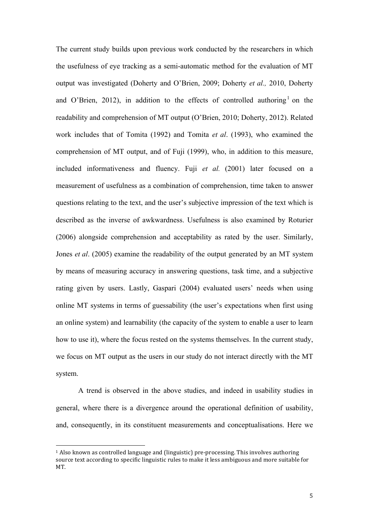The current study builds upon previous work conducted by the researchers in which the usefulness of eye tracking as a semi-automatic method for the evaluation of MT output was investigated (Doherty and O'Brien, 2009; Doherty *et al.,* 2010, Doherty and O'Brien, 2012), in addition to the effects of controlled authoring<sup>1</sup> on the readability and comprehension of MT output (O'Brien, 2010; Doherty, 2012). Related work includes that of Tomita (1992) and Tomita *et al*. (1993), who examined the comprehension of MT output, and of Fuji (1999), who, in addition to this measure, included informativeness and fluency. Fuji *et al.* (2001) later focused on a measurement of usefulness as a combination of comprehension, time taken to answer questions relating to the text, and the user's subjective impression of the text which is described as the inverse of awkwardness. Usefulness is also examined by Roturier (2006) alongside comprehension and acceptability as rated by the user. Similarly, Jones *et al*. (2005) examine the readability of the output generated by an MT system by means of measuring accuracy in answering questions, task time, and a subjective rating given by users. Lastly, Gaspari (2004) evaluated users' needs when using online MT systems in terms of guessability (the user's expectations when first using an online system) and learnability (the capacity of the system to enable a user to learn how to use it), where the focus rested on the systems themselves. In the current study, we focus on MT output as the users in our study do not interact directly with the MT system.

A trend is observed in the above studies, and indeed in usability studies in general, where there is a divergence around the operational definition of usability, and, consequently, in its constituent measurements and conceptualisations. Here we

 

<sup>&</sup>lt;sup>1</sup> Also known as controlled language and (linguistic) pre-processing. This involves authoring source text according to specific linguistic rules to make it less ambiguous and more suitable for MT.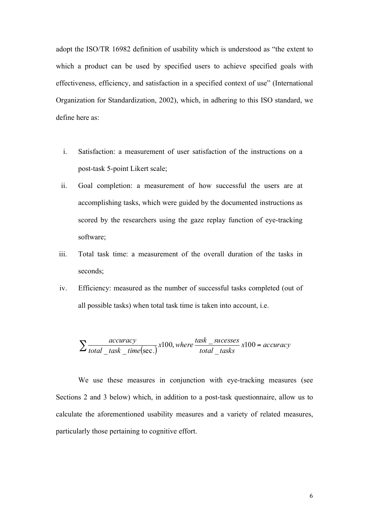adopt the ISO/TR 16982 definition of usability which is understood as "the extent to which a product can be used by specified users to achieve specified goals with effectiveness, efficiency, and satisfaction in a specified context of use" (International Organization for Standardization, 2002), which, in adhering to this ISO standard, we define here as:

- i. Satisfaction: a measurement of user satisfaction of the instructions on a post-task 5-point Likert scale;
- ii. Goal completion: a measurement of how successful the users are at accomplishing tasks, which were guided by the documented instructions as scored by the researchers using the gaze replay function of eye-tracking software;
- iii. Total task time: a measurement of the overall duration of the tasks in seconds;
- iv. Efficiency: measured as the number of successful tasks completed (out of all possible tasks) when total task time is taken into account, i.e.

$$
\sum \frac{accuracy}{total\_task\_time(\text{sec.})} x100, where \frac{task\_successes}{total\_tasks} x100 = accuracy
$$

We use these measures in conjunction with eye-tracking measures (see Sections 2 and 3 below) which, in addition to a post-task questionnaire, allow us to calculate the aforementioned usability measures and a variety of related measures, particularly those pertaining to cognitive effort.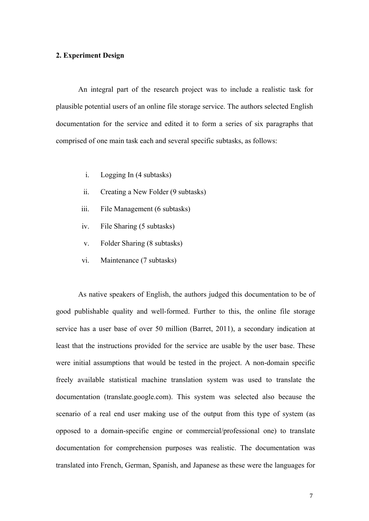# **2. Experiment Design**

An integral part of the research project was to include a realistic task for plausible potential users of an online file storage service. The authors selected English documentation for the service and edited it to form a series of six paragraphs that comprised of one main task each and several specific subtasks, as follows:

- i. Logging In (4 subtasks)
- ii. Creating a New Folder (9 subtasks)
- iii. File Management (6 subtasks)
- iv. File Sharing (5 subtasks)
- v. Folder Sharing (8 subtasks)
- vi. Maintenance (7 subtasks)

As native speakers of English, the authors judged this documentation to be of good publishable quality and well-formed. Further to this, the online file storage service has a user base of over 50 million (Barret, 2011), a secondary indication at least that the instructions provided for the service are usable by the user base. These were initial assumptions that would be tested in the project. A non-domain specific freely available statistical machine translation system was used to translate the documentation (translate.google.com). This system was selected also because the scenario of a real end user making use of the output from this type of system (as opposed to a domain-specific engine or commercial/professional one) to translate documentation for comprehension purposes was realistic. The documentation was translated into French, German, Spanish, and Japanese as these were the languages for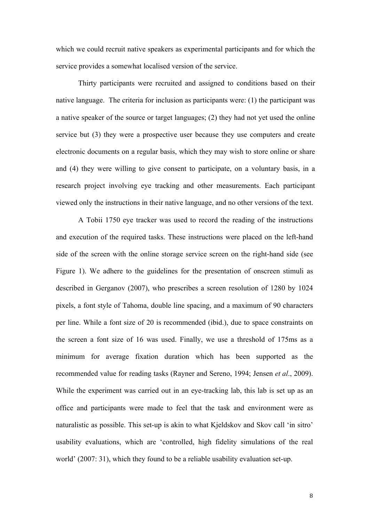which we could recruit native speakers as experimental participants and for which the service provides a somewhat localised version of the service.

Thirty participants were recruited and assigned to conditions based on their native language. The criteria for inclusion as participants were: (1) the participant was a native speaker of the source or target languages; (2) they had not yet used the online service but (3) they were a prospective user because they use computers and create electronic documents on a regular basis, which they may wish to store online or share and (4) they were willing to give consent to participate, on a voluntary basis, in a research project involving eye tracking and other measurements. Each participant viewed only the instructions in their native language, and no other versions of the text.

A Tobii 1750 eye tracker was used to record the reading of the instructions and execution of the required tasks. These instructions were placed on the left-hand side of the screen with the online storage service screen on the right-hand side (see Figure 1). We adhere to the guidelines for the presentation of onscreen stimuli as described in Gerganov (2007), who prescribes a screen resolution of 1280 by 1024 pixels, a font style of Tahoma, double line spacing, and a maximum of 90 characters per line. While a font size of 20 is recommended (ibid.), due to space constraints on the screen a font size of 16 was used. Finally, we use a threshold of 175ms as a minimum for average fixation duration which has been supported as the recommended value for reading tasks (Rayner and Sereno, 1994; Jensen *et al*., 2009). While the experiment was carried out in an eye-tracking lab, this lab is set up as an office and participants were made to feel that the task and environment were as naturalistic as possible. This set-up is akin to what Kjeldskov and Skov call 'in sitro' usability evaluations, which are 'controlled, high fidelity simulations of the real world' (2007: 31), which they found to be a reliable usability evaluation set-up.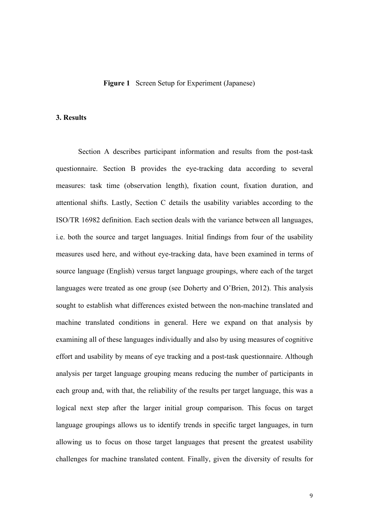## **Figure 1** Screen Setup for Experiment (Japanese)

#### **3. Results**

Section A describes participant information and results from the post-task questionnaire. Section B provides the eye-tracking data according to several measures: task time (observation length), fixation count, fixation duration, and attentional shifts. Lastly, Section C details the usability variables according to the ISO/TR 16982 definition. Each section deals with the variance between all languages, i.e. both the source and target languages. Initial findings from four of the usability measures used here, and without eye-tracking data, have been examined in terms of source language (English) versus target language groupings, where each of the target languages were treated as one group (see Doherty and O'Brien, 2012). This analysis sought to establish what differences existed between the non-machine translated and machine translated conditions in general. Here we expand on that analysis by examining all of these languages individually and also by using measures of cognitive effort and usability by means of eye tracking and a post-task questionnaire. Although analysis per target language grouping means reducing the number of participants in each group and, with that, the reliability of the results per target language, this was a logical next step after the larger initial group comparison. This focus on target language groupings allows us to identify trends in specific target languages, in turn allowing us to focus on those target languages that present the greatest usability challenges for machine translated content. Finally, given the diversity of results for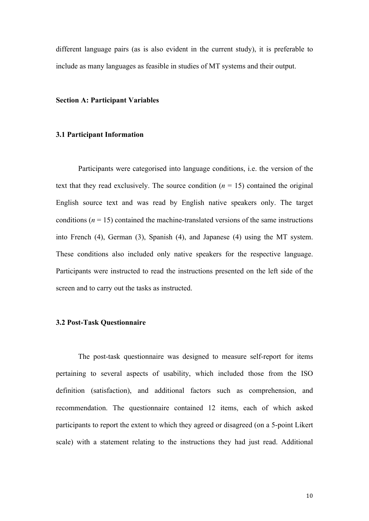different language pairs (as is also evident in the current study), it is preferable to include as many languages as feasible in studies of MT systems and their output.

#### **Section A: Participant Variables**

## **3.1 Participant Information**

Participants were categorised into language conditions, i.e. the version of the text that they read exclusively. The source condition  $(n = 15)$  contained the original English source text and was read by English native speakers only. The target conditions  $(n = 15)$  contained the machine-translated versions of the same instructions into French (4), German (3), Spanish (4), and Japanese (4) using the MT system. These conditions also included only native speakers for the respective language. Participants were instructed to read the instructions presented on the left side of the screen and to carry out the tasks as instructed.

# **3.2 Post-Task Questionnaire**

The post-task questionnaire was designed to measure self-report for items pertaining to several aspects of usability, which included those from the ISO definition (satisfaction), and additional factors such as comprehension, and recommendation. The questionnaire contained 12 items, each of which asked participants to report the extent to which they agreed or disagreed (on a 5-point Likert scale) with a statement relating to the instructions they had just read. Additional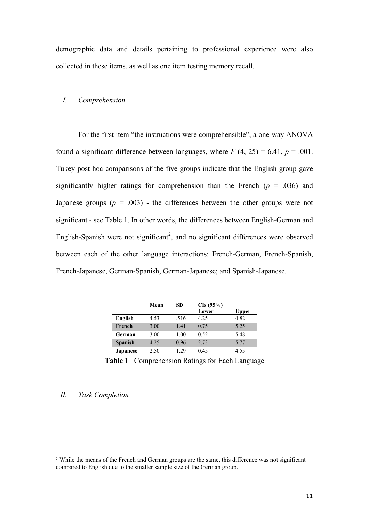demographic data and details pertaining to professional experience were also collected in these items, as well as one item testing memory recall.

# *I. Comprehension*

For the first item "the instructions were comprehensible", a one-way ANOVA found a significant difference between languages, where  $F(4, 25) = 6.41$ ,  $p = .001$ . Tukey post-hoc comparisons of the five groups indicate that the English group gave significantly higher ratings for comprehension than the French  $(p = .036)$  and Japanese groups  $(p = .003)$  - the differences between the other groups were not significant - see Table 1. In other words, the differences between English-German and English-Spanish were not significant<sup>2</sup>, and no significant differences were observed between each of the other language interactions: French-German, French-Spanish, French-Japanese, German-Spanish, German-Japanese; and Spanish-Japanese.

|                 | Mean | SD.  | CIs (95%) |       |
|-----------------|------|------|-----------|-------|
|                 |      |      | Lower     | Upper |
| English         | 4.53 | .516 | 4.25      | 4.82  |
| French          | 3.00 | 1.41 | 0.75      | 5.25  |
| German          | 3.00 | 1.00 | 0.52      | 5.48  |
| <b>Spanish</b>  | 4.25 | 0.96 | 2.73      | 5.77  |
| <b>Japanese</b> | 2.50 | 1 29 | 0.45      | 4.55  |

**Table 1** Comprehension Ratings for Each Language

# *II. Task Completion*

 

<sup>2</sup> While the means of the French and German groups are the same, this difference was not significant compared to English due to the smaller sample size of the German group.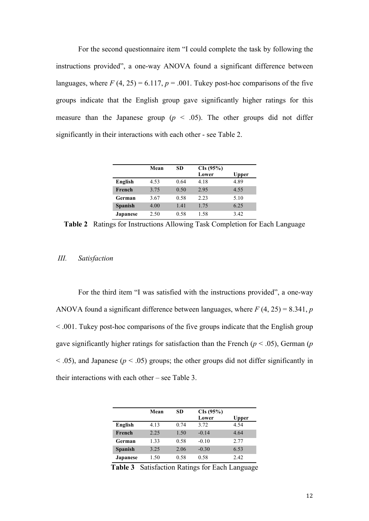For the second questionnaire item "I could complete the task by following the instructions provided", a one-way ANOVA found a significant difference between languages, where  $F(4, 25) = 6.117$ ,  $p = .001$ . Tukey post-hoc comparisons of the five groups indicate that the English group gave significantly higher ratings for this measure than the Japanese group ( $p \leq .05$ ). The other groups did not differ significantly in their interactions with each other - see Table 2.

|                 | Mean | SD   | CIs (95%) |       |
|-----------------|------|------|-----------|-------|
|                 |      |      | Lower     | Upper |
| English         | 4.53 | 0.64 | 4.18      | 4.89  |
| French          | 3.75 | 0.50 | 2.95      | 4.55  |
| German          | 3.67 | 0.58 | 2.23      | 5.10  |
| <b>Spanish</b>  | 4.00 | 1.41 | 1.75      | 6.25  |
| <b>Japanese</b> | 2.50 | 0.58 | 1.58      | 3.42  |

**Table 2** Ratings for Instructions Allowing Task Completion for Each Language

#### *III. Satisfaction*

For the third item "I was satisfied with the instructions provided", a one-way ANOVA found a significant difference between languages, where  $F(4, 25) = 8.341$ , *p* < .001. Tukey post-hoc comparisons of the five groups indicate that the English group gave significantly higher ratings for satisfaction than the French ( $p < .05$ ), German ( $p$ )  $<$  0.05), and Japanese ( $p$   $<$  0.05) groups; the other groups did not differ significantly in their interactions with each other – see Table 3.

|                | Mean | SD   | CIs (95%) |       |
|----------------|------|------|-----------|-------|
|                |      |      | Lower     | Upper |
| English        | 4.13 | 0.74 | 3.72      | 4.54  |
| French         | 2.25 | 1.50 | $-0.14$   | 4.64  |
| German         | 1.33 | 0.58 | $-0.10$   | 2.77  |
| <b>Spanish</b> | 3.25 | 2.06 | $-0.30$   | 6.53  |
| Japanese       | 1.50 | 0.58 | 0.58      | 2.42  |

**Table 3** Satisfaction Ratings for Each Language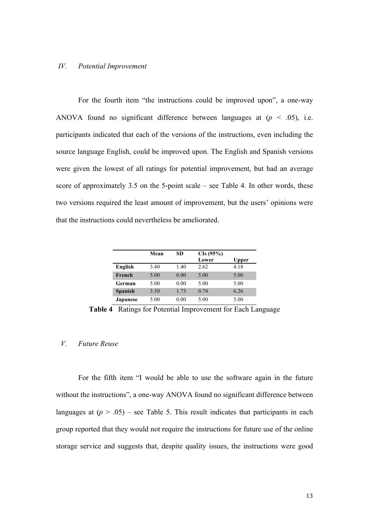# *IV. Potential Improvement*

For the fourth item "the instructions could be improved upon", a one-way ANOVA found no significant difference between languages at  $(p < .05)$ , i.e. participants indicated that each of the versions of the instructions, even including the source language English, could be improved upon. The English and Spanish versions were given the lowest of all ratings for potential improvement, but had an average score of approximately 3.5 on the 5-point scale – see Table 4. In other words, these two versions required the least amount of improvement, but the users' opinions were that the instructions could nevertheless be ameliorated.

|                 | Mean | SD   | CIs (95%) |       |
|-----------------|------|------|-----------|-------|
|                 |      |      | Lower     | Upper |
| English         | 3.40 | 1.40 | 2.62      | 4.18  |
| French          | 5.00 | 0.00 | 5.00      | 5.00  |
| German          | 5.00 | 0.00 | 5.00      | 5.00  |
| <b>Spanish</b>  | 3.50 | 1.73 | 0.74      | 6.26  |
| <b>Japanese</b> | 5.00 | 0.00 | 5.00      | 5.00  |

**Table 4** Ratings for Potential Improvement for Each Language

# *V. Future Reuse*

For the fifth item "I would be able to use the software again in the future without the instructions", a one-way ANOVA found no significant difference between languages at  $(p > .05)$  – see Table 5. This result indicates that participants in each group reported that they would not require the instructions for future use of the online storage service and suggests that, despite quality issues, the instructions were good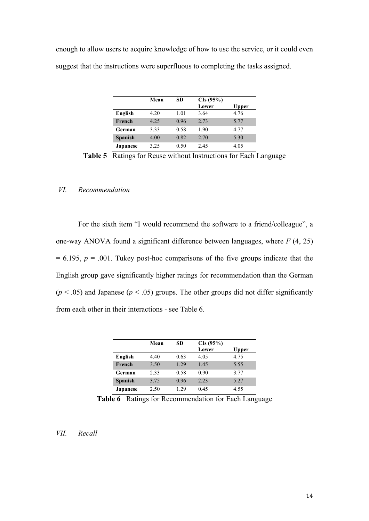enough to allow users to acquire knowledge of how to use the service, or it could even suggest that the instructions were superfluous to completing the tasks assigned.

|                 | Mean | SD   | CIs (95%) |       |
|-----------------|------|------|-----------|-------|
|                 |      |      | Lower     | Upper |
| English         | 4.20 | 1.01 | 3.64      | 4.76  |
| French          | 4.25 | 0.96 | 2.73      | 5.77  |
| German          | 3.33 | 0.58 | 1.90      | 4.77  |
| <b>Spanish</b>  | 4.00 | 0.82 | 2.70      | 5.30  |
| <b>Japanese</b> | 3.25 | 0.50 | 2.45      | 4.05  |

**Table 5** Ratings for Reuse without Instructions for Each Language

# *VI. Recommendation*

For the sixth item "I would recommend the software to a friend/colleague", a one-way ANOVA found a significant difference between languages, where *F* (4, 25)  $= 6.195$ ,  $p = .001$ . Tukey post-hoc comparisons of the five groups indicate that the English group gave significantly higher ratings for recommendation than the German  $(p < .05)$  and Japanese  $(p < .05)$  groups. The other groups did not differ significantly from each other in their interactions - see Table 6.

|                 | Mean | SD    | CIs (95%) |       |
|-----------------|------|-------|-----------|-------|
|                 |      |       | Lower     | Upper |
| English         | 4.40 | 0.63  | 4.05      | 4.75  |
| French          | 3.50 | 1.29  | 1.45      | 5.55  |
| German          | 2.33 | 0.58  | 0.90      | 3.77  |
| <b>Spanish</b>  | 3.75 | 0.96  | 2.23      | 5.27  |
| <b>Japanese</b> | 2.50 | 1 2.9 | 0.45      | 4.55  |

**Table 6** Ratings for Recommendation for Each Language

# *VII. Recall*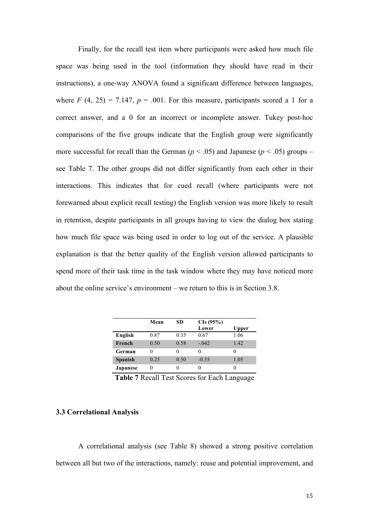Finally, for the recall test item where participants were asked how much file space was being used in the tool (information they should have read in their instructions), a one-way ANOVA found a significant difference between languages, where  $F(4, 25) = 7.147$ ,  $p = .001$ . For this measure, participants scored a 1 for a correct answer, and a 0 for an incorrect or incomplete answer. Tukey post-hoc comparisons of the five groups indicate that the English group were significantly more successful for recall than the German ( $p < .05$ ) and Japanese ( $p < .05$ ) groups – see Table 7. The other groups did not differ significantly from each other in their interactions. This indicates that for cued recall (where participants were not forewarned about explicit recall testing) the English version was more likely to result in retention, despite participants in all groups having to view the dialog box stating how much file space was being used in order to log out of the service. A plausible explanation is that the better quality of the English version allowed participants to spend more of their task time in the task window where they may have noticed more about the online service's environment – we return to this is in Section 3.8.

|                 | Mean | SD           | CIs (95%)<br>Lower | Upper |
|-----------------|------|--------------|--------------------|-------|
| English         | 0.87 | 0.35         | 0.67               | 1.06  |
| French          | 0.50 | 0.58         | $-.042$            | 1.42  |
| German          |      | 0            |                    | 0     |
| <b>Spanish</b>  | 0.25 | 0.50         | $-0.55$            | 1.05  |
| <b>Japanese</b> |      | $\mathbf{0}$ |                    |       |

**Table 7** Recall Test Scores for Each Language

# **3.3 Correlational Analysis**

A correlational analysis (see Table 8) showed a strong positive correlation between all but two of the interactions, namely: reuse and potential improvement, and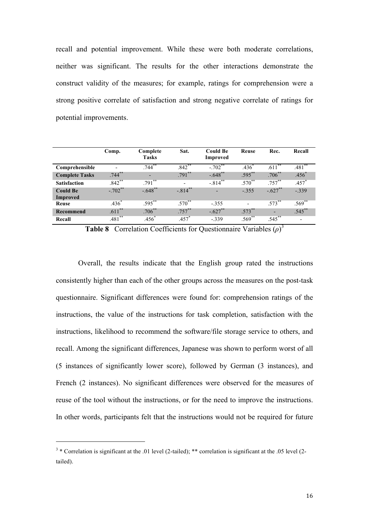recall and potential improvement. While these were both moderate correlations, neither was significant. The results for the other interactions demonstrate the construct validity of the measures; for example, ratings for comprehension were a strong positive correlate of satisfaction and strong negative correlate of ratings for potential improvements.

|                       | Comp.               | Complete<br><b>Tasks</b> | Sat.                     | <b>Could Be</b><br>Improved | Reuse                    | Rec.      | Recall      |
|-----------------------|---------------------|--------------------------|--------------------------|-----------------------------|--------------------------|-----------|-------------|
| Comprehensible        |                     | $.744$ <sup>**</sup>     | $.842$ **                | $-.702$ <sup>**</sup>       | $.436^{^{\circ}}$        | $.611***$ | $.481$ **   |
| <b>Complete Tasks</b> | $.744$ **           |                          | $.791$ **                | $-.648$ **                  | $.595***$                | $.706***$ | $.456*$     |
| <b>Satisfaction</b>   | $.842$ **           | $.791***$                | $\overline{\phantom{a}}$ | $-0.814$ **                 | $.570***$                | $.757***$ | $.457*$     |
| <b>Could Be</b>       | $-.702**$           | $-.648$ **               | $-.814***$               |                             | $-.355$                  | $-.627**$ | $-0.339$    |
| Improved              |                     |                          |                          |                             |                          |           |             |
| Reuse                 | $.436$ <sup>*</sup> | $.595***$                | $.570^{**}$              | $-.355$                     | $\overline{\phantom{0}}$ | $.573***$ | $.569^{**}$ |
| Recommend             | $.611$ **           | $.706***$                | $.757***$                | $-.627$ **                  | $.573***$                |           | $.545***$   |
| Recall                | $.481***$           | $.456*$                  | $.457*$                  | $-.339$                     | $.569^{**}$              | $.545***$ |             |

**Table 8** Correlation Coefficients for Questionnaire Variables (*ρ*) 3

Overall, the results indicate that the English group rated the instructions consistently higher than each of the other groups across the measures on the post-task questionnaire. Significant differences were found for: comprehension ratings of the instructions, the value of the instructions for task completion, satisfaction with the instructions, likelihood to recommend the software/file storage service to others, and recall. Among the significant differences, Japanese was shown to perform worst of all (5 instances of significantly lower score), followed by German (3 instances), and French (2 instances). No significant differences were observed for the measures of reuse of the tool without the instructions, or for the need to improve the instructions. In other words, participants felt that the instructions would not be required for future

 

<sup>&</sup>lt;sup>3</sup> \* Correlation is significant at the .01 level (2-tailed); \*\* correlation is significant at the .05 level (2tailed).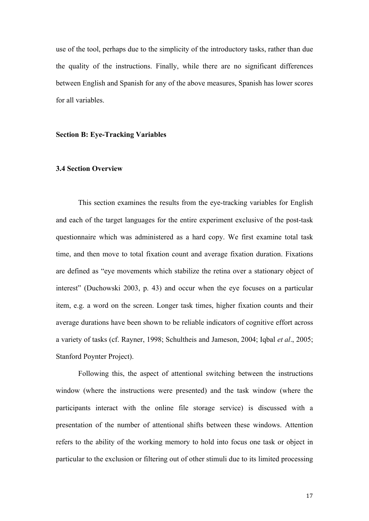use of the tool, perhaps due to the simplicity of the introductory tasks, rather than due the quality of the instructions. Finally, while there are no significant differences between English and Spanish for any of the above measures, Spanish has lower scores for all variables.

#### **Section B: Eye-Tracking Variables**

#### **3.4 Section Overview**

This section examines the results from the eye-tracking variables for English and each of the target languages for the entire experiment exclusive of the post-task questionnaire which was administered as a hard copy. We first examine total task time, and then move to total fixation count and average fixation duration. Fixations are defined as "eye movements which stabilize the retina over a stationary object of interest" (Duchowski 2003, p. 43) and occur when the eye focuses on a particular item, e.g. a word on the screen. Longer task times, higher fixation counts and their average durations have been shown to be reliable indicators of cognitive effort across a variety of tasks (cf. Rayner, 1998; Schultheis and Jameson, 2004; Iqbal *et al*., 2005; Stanford Poynter Project).

Following this, the aspect of attentional switching between the instructions window (where the instructions were presented) and the task window (where the participants interact with the online file storage service) is discussed with a presentation of the number of attentional shifts between these windows. Attention refers to the ability of the working memory to hold into focus one task or object in particular to the exclusion or filtering out of other stimuli due to its limited processing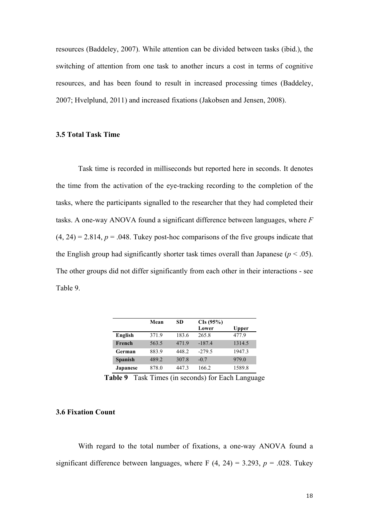resources (Baddeley, 2007). While attention can be divided between tasks (ibid.), the switching of attention from one task to another incurs a cost in terms of cognitive resources, and has been found to result in increased processing times (Baddeley, 2007; Hvelplund, 2011) and increased fixations (Jakobsen and Jensen, 2008).

# **3.5 Total Task Time**

Task time is recorded in milliseconds but reported here in seconds. It denotes the time from the activation of the eye-tracking recording to the completion of the tasks, where the participants signalled to the researcher that they had completed their tasks. A one-way ANOVA found a significant difference between languages, where *F*  $(4, 24) = 2.814$ ,  $p = .048$ . Tukey post-hoc comparisons of the five groups indicate that the English group had significantly shorter task times overall than Japanese ( $p < .05$ ). The other groups did not differ significantly from each other in their interactions - see Table 9.

|                 | Mean  | SD    | CIs (95%) |        |
|-----------------|-------|-------|-----------|--------|
|                 |       |       | Lower     | Upper  |
| English         | 371.9 | 183.6 | 265.8     | 477.9  |
| French          | 563.5 | 471.9 | $-187.4$  | 1314.5 |
| German          | 883.9 | 448.2 | $-279.5$  | 1947.3 |
| <b>Spanish</b>  | 489.2 | 307.8 | $-0.7$    | 979.0  |
| <b>Japanese</b> | 878.0 | 4473  | 166.2     | 1589.8 |

**Table 9** Task Times (in seconds) for Each Language

# **3.6 Fixation Count**

With regard to the total number of fixations, a one-way ANOVA found a significant difference between languages, where F  $(4, 24) = 3.293$ ,  $p = .028$ . Tukey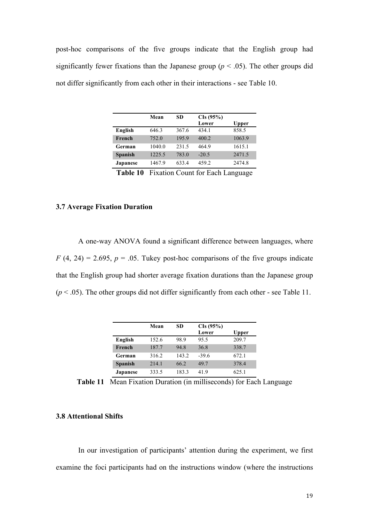post-hoc comparisons of the five groups indicate that the English group had significantly fewer fixations than the Japanese group ( $p < .05$ ). The other groups did not differ significantly from each other in their interactions - see Table 10.

|                  | Mean         | SD     | CIs (95%)                                        |        |
|------------------|--------------|--------|--------------------------------------------------|--------|
|                  |              |        | Lower                                            | Upper  |
| English          | 646.3        | 367.6  | 434.1                                            | 858.5  |
| French           | 752.0        | 195.9  | 400.2                                            | 1063.9 |
| German           | 1040.0       | 231.5  | 464.9                                            | 1615.1 |
| <b>Spanish</b>   | 1225.5       | 783.0  | $-20.5$                                          | 2471.5 |
| <b>Japanese</b>  | 1467.9       | 633.4  | 459.2                                            | 2474.8 |
| -- - -<br>$\sim$ | ∽-<br>$\sim$ | $\sim$ | $\sim$ $\sim$<br>$\overline{\phantom{0}}$<br>. . |        |

**Table 10** Fixation Count for Each Language

# **3.7 Average Fixation Duration**

A one-way ANOVA found a significant difference between languages, where  $F(4, 24) = 2.695$ ,  $p = .05$ . Tukey post-hoc comparisons of the five groups indicate that the English group had shorter average fixation durations than the Japanese group  $(p < .05)$ . The other groups did not differ significantly from each other - see Table 11.

|                 | Mean  | SD    | CIs (95%)<br>Lower | <b>Upper</b> |
|-----------------|-------|-------|--------------------|--------------|
| English         | 152.6 | 98.9  | 95.5               | 209.7        |
| French          | 187.7 | 94 8  | 36.8               | 338.7        |
| German          | 316.2 | 143.2 | $-39.6$            | 672.1        |
| <b>Spanish</b>  | 214.1 | 66.2  | 49.7               | 378.4        |
| <b>Japanese</b> | 333.5 | 183.3 | 419                | 625.1        |

**Table 11** Mean Fixation Duration (in milliseconds) for Each Language

# **3.8 Attentional Shifts**

In our investigation of participants' attention during the experiment, we first examine the foci participants had on the instructions window (where the instructions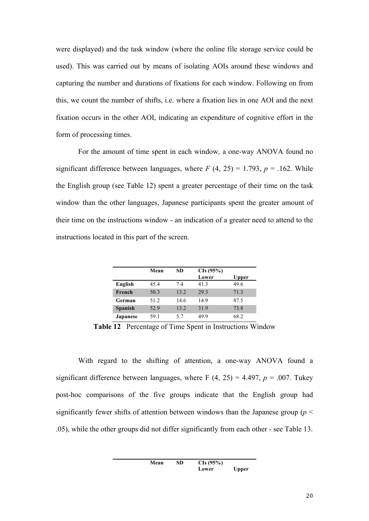were displayed) and the task window (where the online file storage service could be used). This was carried out by means of isolating AOIs around these windows and capturing the number and durations of fixations for each window. Following on from this, we count the number of shifts, i.e. where a fixation lies in one AOI and the next fixation occurs in the other AOI, indicating an expenditure of cognitive effort in the form of processing times.

For the amount of time spent in each window, a one-way ANOVA found no significant difference between languages, where  $F(4, 25) = 1.793$ ,  $p = .162$ . While the English group (see Table 12) spent a greater percentage of their time on the task window than the other languages, Japanese participants spent the greater amount of their time on the instructions window - an indication of a greater need to attend to the instructions located in this part of the screen.

|                 | Mean | SD   | CIs (95%)<br>Lower | Upper |
|-----------------|------|------|--------------------|-------|
| English         | 45.4 | 74   | 41.3               | 49.6  |
| French          | 50.3 | 13.2 | 29.3               | 71.3  |
| German          | 51.2 | 14.6 | 14.9               | 87.5  |
| <b>Spanish</b>  | 52.9 | 13.2 | 31.9               | 73.8  |
| <b>Japanese</b> | 59.1 | 57   | 49 9               | 68.2  |

**Table 12** Percentage of Time Spent in Instructions Window

With regard to the shifting of attention, a one-way ANOVA found a significant difference between languages, where F  $(4, 25) = 4.497$ ,  $p = .007$ . Tukey post-hoc comparisons of the five groups indicate that the English group had significantly fewer shifts of attention between windows than the Japanese group ( $p <$ .05), while the other groups did not differ significantly from each other - see Table 13.

> **Mean SD CIs (95%) Lower Upper**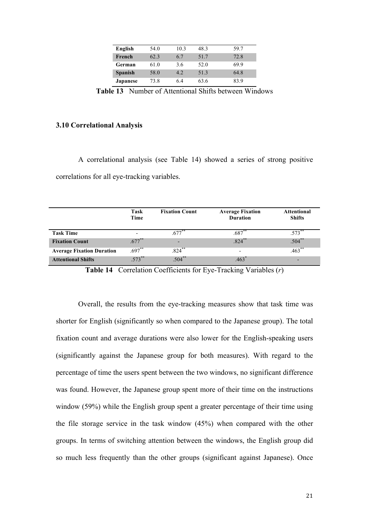| English        | 54.0 | 10.3 | 483  | 59.7 |
|----------------|------|------|------|------|
| French         | 62.3 | 6.7  | 51.7 | 72.8 |
| German         | 61.0 | 3.6  | 52.0 | 69.9 |
| <b>Spanish</b> | 58.0 | 4.2  | 513  | 64.8 |
| Japanese       | 73.8 | 64   | 63.6 | 83.9 |

**Table 13** Number of Attentional Shifts between Windows

#### **3.10 Correlational Analysis**

A correlational analysis (see Table 14) showed a series of strong positive correlations for all eye-tracking variables.

|                                  | Task<br>Time             | <b>Fixation Count</b> | <b>Average Fixation</b><br><b>Duration</b> | <b>Attentional</b><br><b>Shifts</b> |
|----------------------------------|--------------------------|-----------------------|--------------------------------------------|-------------------------------------|
| <b>Task Time</b>                 | $\overline{\phantom{a}}$ | $.677***$             | $.687**$                                   | $.573***$                           |
| <b>Fixation Count</b>            | $.677***$                | -                     | $.824***$                                  | $.504**$                            |
| <b>Average Fixation Duration</b> | $.697**$                 | $.824$ **             |                                            | $.463***$                           |
| <b>Attentional Shifts</b>        | $573***$                 | $.504***$             |                                            |                                     |

**Table 14** Correlation Coefficients for Eye-Tracking Variables (*r*)

Overall, the results from the eye-tracking measures show that task time was shorter for English (significantly so when compared to the Japanese group). The total fixation count and average durations were also lower for the English-speaking users (significantly against the Japanese group for both measures). With regard to the percentage of time the users spent between the two windows, no significant difference was found. However, the Japanese group spent more of their time on the instructions window (59%) while the English group spent a greater percentage of their time using the file storage service in the task window (45%) when compared with the other groups. In terms of switching attention between the windows, the English group did so much less frequently than the other groups (significant against Japanese). Once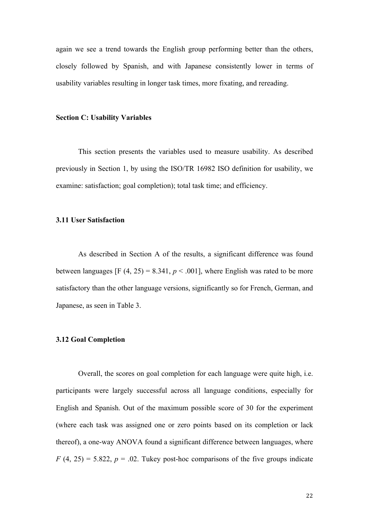again we see a trend towards the English group performing better than the others, closely followed by Spanish, and with Japanese consistently lower in terms of usability variables resulting in longer task times, more fixating, and rereading.

#### **Section C: Usability Variables**

This section presents the variables used to measure usability. As described previously in Section 1, by using the ISO/TR 16982 ISO definition for usability, we examine: satisfaction; goal completion); total task time; and efficiency.

# **3.11 User Satisfaction**

As described in Section A of the results, a significant difference was found between languages [F  $(4, 25) = 8.341$ ,  $p < .001$ ], where English was rated to be more satisfactory than the other language versions, significantly so for French, German, and Japanese, as seen in Table 3.

#### **3.12 Goal Completion**

Overall, the scores on goal completion for each language were quite high, i.e. participants were largely successful across all language conditions, especially for English and Spanish. Out of the maximum possible score of 30 for the experiment (where each task was assigned one or zero points based on its completion or lack thereof), a one-way ANOVA found a significant difference between languages, where  $F(4, 25) = 5.822$ ,  $p = 0.02$ . Tukey post-hoc comparisons of the five groups indicate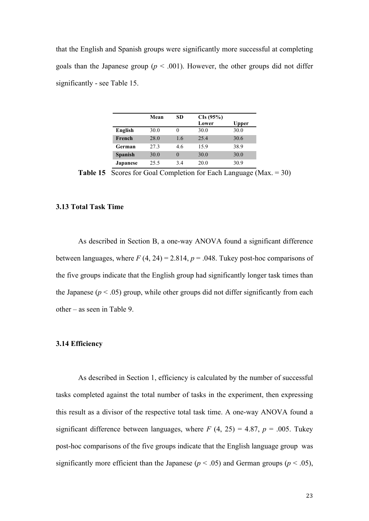that the English and Spanish groups were significantly more successful at completing goals than the Japanese group ( $p < .001$ ). However, the other groups did not differ significantly - see Table 15.

|                | Mean | SD  | CIs (95%) |       |
|----------------|------|-----|-----------|-------|
|                |      |     | Lower     | Upper |
| English        | 30.0 |     | 30.0      | 30.0  |
| French         | 28.0 | 1.6 | 25.4      | 30.6  |
| German         | 27.3 | 4.6 | 15.9      | 38.9  |
| <b>Spanish</b> | 30.0 |     | 30.0      | 30.0  |
| Japanese       | 25.5 | 34  | 20.0      | 30.9  |

**Table 15** Scores for Goal Completion for Each Language (Max. = 30)

# **3.13 Total Task Time**

As described in Section B, a one-way ANOVA found a significant difference between languages, where  $F(4, 24) = 2.814$ ,  $p = .048$ . Tukey post-hoc comparisons of the five groups indicate that the English group had significantly longer task times than the Japanese ( $p < .05$ ) group, while other groups did not differ significantly from each other – as seen in Table 9.

#### **3.14 Efficiency**

As described in Section 1, efficiency is calculated by the number of successful tasks completed against the total number of tasks in the experiment, then expressing this result as a divisor of the respective total task time. A one-way ANOVA found a significant difference between languages, where  $F(4, 25) = 4.87$ ,  $p = .005$ . Tukey post-hoc comparisons of the five groups indicate that the English language group was significantly more efficient than the Japanese ( $p < .05$ ) and German groups ( $p < .05$ ),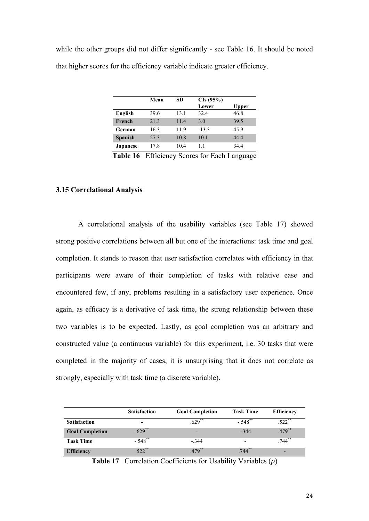while the other groups did not differ significantly - see Table 16. It should be noted that higher scores for the efficiency variable indicate greater efficiency.

|                 | Mean | SD   | CIs (95%) |              |
|-----------------|------|------|-----------|--------------|
|                 |      |      | Lower     | <b>Upper</b> |
| English         | 39.6 | 13.1 | 32.4      | 46.8         |
| French          | 21.3 | 11.4 | 3.0       | 39.5         |
| German          | 16.3 | 11.9 | $-13.3$   | 45.9         |
| <b>Spanish</b>  | 27.3 | 10.8 | 10.1      | 44.4         |
| <b>Japanese</b> | 17.8 | 10.4 | 11        | 34.4         |

**Table 16** Efficiency Scores for Each Language

# **3.15 Correlational Analysis**

A correlational analysis of the usability variables (see Table 17) showed strong positive correlations between all but one of the interactions: task time and goal completion. It stands to reason that user satisfaction correlates with efficiency in that participants were aware of their completion of tasks with relative ease and encountered few, if any, problems resulting in a satisfactory user experience. Once again, as efficacy is a derivative of task time, the strong relationship between these two variables is to be expected. Lastly, as goal completion was an arbitrary and constructed value (a continuous variable) for this experiment, i.e. 30 tasks that were completed in the majority of cases, it is unsurprising that it does not correlate as strongly, especially with task time (a discrete variable).

|                        | <b>Satisfaction</b>      | <b>Goal Completion</b>   | <b>Task Time</b>         | <b>Efficiency</b>        |
|------------------------|--------------------------|--------------------------|--------------------------|--------------------------|
| <b>Satisfaction</b>    | $\overline{\phantom{a}}$ | $.629***$                | $-548°$                  | $.522$ **                |
| <b>Goal Completion</b> | $.629***$                | $\overline{\phantom{0}}$ | $-.344$                  | $.479$ **                |
| <b>Task Time</b>       | $-.548$ **               | $-344$                   | $\overline{\phantom{0}}$ | $.744$ **                |
| <b>Efficiency</b>      | $522$ <sup>**</sup>      | $479**$                  | $.744***$                | $\overline{\phantom{0}}$ |

**Table 17** Correlation Coefficients for Usability Variables (*ρ*)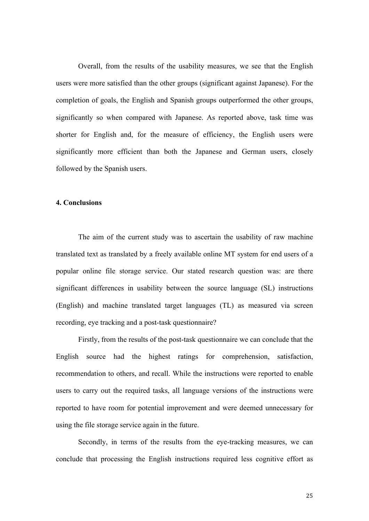Overall, from the results of the usability measures, we see that the English users were more satisfied than the other groups (significant against Japanese). For the completion of goals, the English and Spanish groups outperformed the other groups, significantly so when compared with Japanese. As reported above, task time was shorter for English and, for the measure of efficiency, the English users were significantly more efficient than both the Japanese and German users, closely followed by the Spanish users.

#### **4. Conclusions**

The aim of the current study was to ascertain the usability of raw machine translated text as translated by a freely available online MT system for end users of a popular online file storage service. Our stated research question was: are there significant differences in usability between the source language (SL) instructions (English) and machine translated target languages (TL) as measured via screen recording, eye tracking and a post-task questionnaire?

Firstly, from the results of the post-task questionnaire we can conclude that the English source had the highest ratings for comprehension, satisfaction, recommendation to others, and recall. While the instructions were reported to enable users to carry out the required tasks, all language versions of the instructions were reported to have room for potential improvement and were deemed unnecessary for using the file storage service again in the future.

Secondly, in terms of the results from the eye-tracking measures, we can conclude that processing the English instructions required less cognitive effort as

25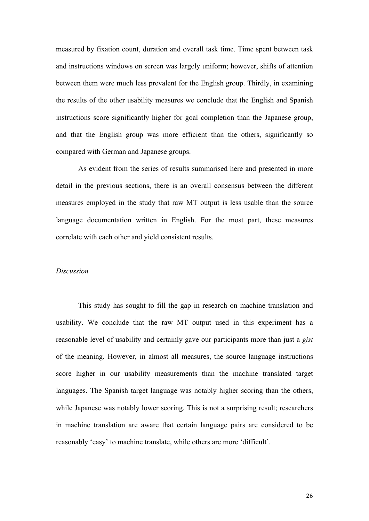measured by fixation count, duration and overall task time. Time spent between task and instructions windows on screen was largely uniform; however, shifts of attention between them were much less prevalent for the English group. Thirdly, in examining the results of the other usability measures we conclude that the English and Spanish instructions score significantly higher for goal completion than the Japanese group, and that the English group was more efficient than the others, significantly so compared with German and Japanese groups.

As evident from the series of results summarised here and presented in more detail in the previous sections, there is an overall consensus between the different measures employed in the study that raw MT output is less usable than the source language documentation written in English. For the most part, these measures correlate with each other and yield consistent results.

## *Discussion*

This study has sought to fill the gap in research on machine translation and usability. We conclude that the raw MT output used in this experiment has a reasonable level of usability and certainly gave our participants more than just a *gist* of the meaning. However, in almost all measures, the source language instructions score higher in our usability measurements than the machine translated target languages. The Spanish target language was notably higher scoring than the others, while Japanese was notably lower scoring. This is not a surprising result; researchers in machine translation are aware that certain language pairs are considered to be reasonably 'easy' to machine translate, while others are more 'difficult'.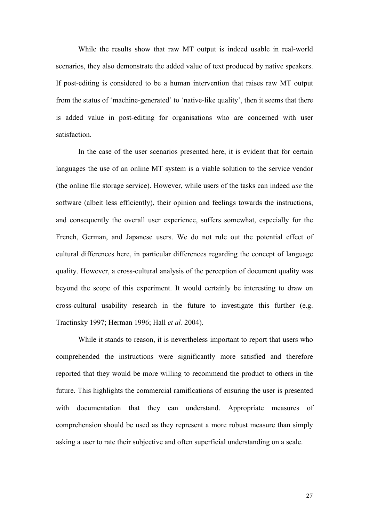While the results show that raw MT output is indeed usable in real-world scenarios, they also demonstrate the added value of text produced by native speakers. If post-editing is considered to be a human intervention that raises raw MT output from the status of 'machine-generated' to 'native-like quality', then it seems that there is added value in post-editing for organisations who are concerned with user satisfaction.

In the case of the user scenarios presented here, it is evident that for certain languages the use of an online MT system is a viable solution to the service vendor (the online file storage service). However, while users of the tasks can indeed *use* the software (albeit less efficiently), their opinion and feelings towards the instructions, and consequently the overall user experience, suffers somewhat, especially for the French, German, and Japanese users. We do not rule out the potential effect of cultural differences here, in particular differences regarding the concept of language quality. However, a cross-cultural analysis of the perception of document quality was beyond the scope of this experiment. It would certainly be interesting to draw on cross-cultural usability research in the future to investigate this further (e.g. Tractinsky 1997; Herman 1996; Hall *et al.* 2004).

While it stands to reason, it is nevertheless important to report that users who comprehended the instructions were significantly more satisfied and therefore reported that they would be more willing to recommend the product to others in the future. This highlights the commercial ramifications of ensuring the user is presented with documentation that they can understand. Appropriate measures of comprehension should be used as they represent a more robust measure than simply asking a user to rate their subjective and often superficial understanding on a scale.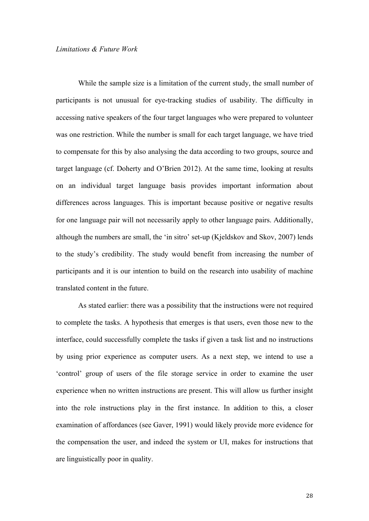While the sample size is a limitation of the current study, the small number of participants is not unusual for eye-tracking studies of usability. The difficulty in accessing native speakers of the four target languages who were prepared to volunteer was one restriction. While the number is small for each target language, we have tried to compensate for this by also analysing the data according to two groups, source and target language (cf. Doherty and O'Brien 2012). At the same time, looking at results on an individual target language basis provides important information about differences across languages. This is important because positive or negative results for one language pair will not necessarily apply to other language pairs. Additionally, although the numbers are small, the 'in sitro' set-up (Kjeldskov and Skov, 2007) lends to the study's credibility. The study would benefit from increasing the number of participants and it is our intention to build on the research into usability of machine translated content in the future.

As stated earlier: there was a possibility that the instructions were not required to complete the tasks. A hypothesis that emerges is that users, even those new to the interface, could successfully complete the tasks if given a task list and no instructions by using prior experience as computer users. As a next step, we intend to use a 'control' group of users of the file storage service in order to examine the user experience when no written instructions are present. This will allow us further insight into the role instructions play in the first instance. In addition to this, a closer examination of affordances (see Gaver, 1991) would likely provide more evidence for the compensation the user, and indeed the system or UI, makes for instructions that are linguistically poor in quality.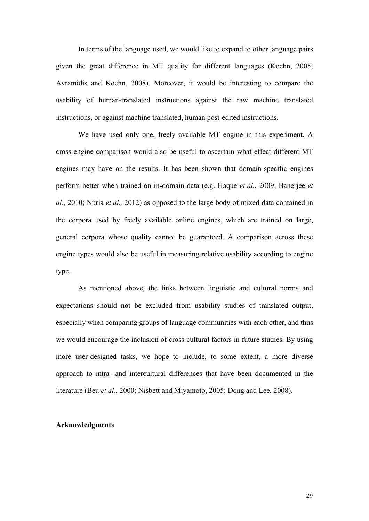In terms of the language used, we would like to expand to other language pairs given the great difference in MT quality for different languages (Koehn, 2005; Avramidis and Koehn, 2008). Moreover, it would be interesting to compare the usability of human-translated instructions against the raw machine translated instructions, or against machine translated, human post-edited instructions.

We have used only one, freely available MT engine in this experiment. A cross-engine comparison would also be useful to ascertain what effect different MT engines may have on the results. It has been shown that domain-specific engines perform better when trained on in-domain data (e.g. Haque *et al.*, 2009; Banerjee *et al.*, 2010; Núria *et al.,* 2012) as opposed to the large body of mixed data contained in the corpora used by freely available online engines, which are trained on large, general corpora whose quality cannot be guaranteed. A comparison across these engine types would also be useful in measuring relative usability according to engine type.

As mentioned above, the links between linguistic and cultural norms and expectations should not be excluded from usability studies of translated output, especially when comparing groups of language communities with each other, and thus we would encourage the inclusion of cross-cultural factors in future studies. By using more user-designed tasks, we hope to include, to some extent, a more diverse approach to intra- and intercultural differences that have been documented in the literature (Beu *et al*., 2000; Nisbett and Miyamoto, 2005; Dong and Lee, 2008).

# **Acknowledgments**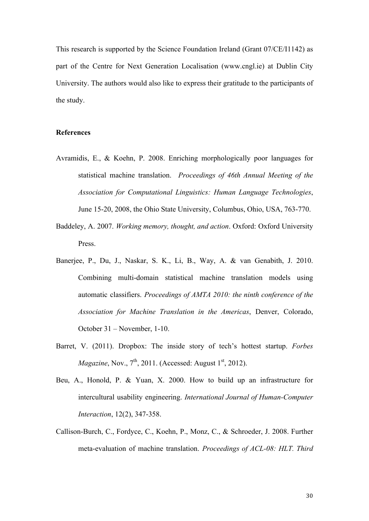This research is supported by the Science Foundation Ireland (Grant 07/CE/I1142) as part of the Centre for Next Generation Localisation (www.cngl.ie) at Dublin City University. The authors would also like to express their gratitude to the participants of the study.

# **References**

- Avramidis, E., & Koehn, P. 2008. Enriching morphologically poor languages for statistical machine translation. *Proceedings of 46th Annual Meeting of the Association for Computational Linguistics: Human Language Technologies*, June 15-20, 2008, the Ohio State University, Columbus, Ohio, USA, 763-770.
- Baddeley, A. 2007. *Working memory, thought, and action*. Oxford: Oxford University Press.
- Banerjee, P., Du, J., Naskar, S. K., Li, B., Way, A. & van Genabith, J. 2010. Combining multi-domain statistical machine translation models using automatic classifiers. *Proceedings of AMTA 2010: the ninth conference of the Association for Machine Translation in the Americas*, Denver, Colorado, October 31 – November, 1-10.
- Barret, V. (2011). Dropbox: The inside story of tech's hottest startup. *Forbes Magazine*, Nov.,  $7<sup>th</sup>$ , 2011. (Accessed: August 1<sup>st</sup>, 2012).
- Beu, A., Honold, P. & Yuan, X. 2000. How to build up an infrastructure for intercultural usability engineering. *International Journal of Human-Computer Interaction*, 12(2), 347-358.
- Callison-Burch, C., Fordyce, C., Koehn, P., Monz, C., & Schroeder, J. 2008. Further meta-evaluation of machine translation. *Proceedings of ACL-08: HLT. Third*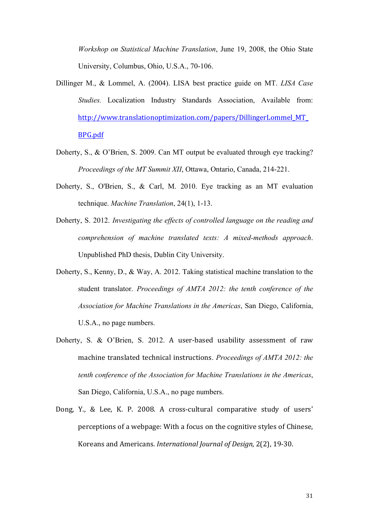*Workshop on Statistical Machine Translation*, June 19, 2008, the Ohio State University, Columbus, Ohio, U.S.A., 70-106.

- Dillinger M., & Lommel, A. (2004). LISA best practice guide on MT. *LISA Case Studies.* Localization Industry Standards Association, Available from: http://www.translationoptimization.com/papers/DillingerLommel\_MT\_ BPG.pdf
- Doherty, S., & O'Brien, S. 2009. Can MT output be evaluated through eye tracking? *Proceedings of the MT Summit XII*, Ottawa, Ontario, Canada, 214-221.
- Doherty, S., O'Brien, S., & Carl, M. 2010. Eye tracking as an MT evaluation technique. *Machine Translation*, 24(1), 1-13.
- Doherty, S. 2012. *Investigating the effects of controlled language on the reading and comprehension of machine translated texts: A mixed-methods approach*. Unpublished PhD thesis, Dublin City University.
- Doherty, S., Kenny, D., & Way, A. 2012. Taking statistical machine translation to the student translator. *Proceedings of AMTA 2012: the tenth conference of the Association for Machine Translations in the Americas*, San Diego, California, U.S.A., no page numbers.
- Doherty, S. & O'Brien, S. 2012. A user-based usability assessment of raw machine translated technical instructions. *Proceedings of AMTA 2012: the tenth conference of the Association for Machine Translations in the Americas*, San Diego, California, U.S.A., no page numbers.
- Dong, Y., & Lee, K. P. 2008. A cross-cultural comparative study of users' perceptions of a webpage: With a focus on the cognitive styles of Chinese, Koreans and Americans. *International Iournal of Desian*, 2(2), 19-30.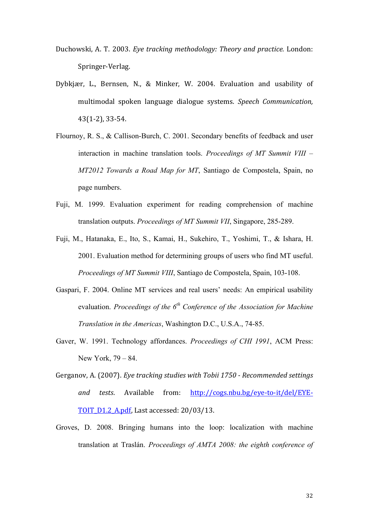- Duchowski, A. T. 2003. *Eye tracking methodology: Theory and practice.* London: Springer-Verlag.
- Dybkjær, L., Bernsen, N., & Minker, W. 2004. Evaluation and usability of multimodal spoken language dialogue systems. *Speech Communication,*  $43(1-2)$ , 33 $-54$ .
- Flournoy, R. S., & Callison-Burch, C. 2001. Secondary benefits of feedback and user interaction in machine translation tools. *Proceedings of MT Summit VIII* – *MT2012 Towards a Road Map for MT*, Santiago de Compostela, Spain, no page numbers.
- Fuji, M. 1999. Evaluation experiment for reading comprehension of machine translation outputs. *Proceedings of MT Summit VII*, Singapore, 285-289.
- Fuji, M., Hatanaka, E., Ito, S., Kamai, H., Sukehiro, T., Yoshimi, T., & Ishara, H. 2001. Evaluation method for determining groups of users who find MT useful. *Proceedings of MT Summit VIII*, Santiago de Compostela, Spain, 103-108.
- Gaspari, F. 2004. Online MT services and real users' needs: An empirical usability evaluation. *Proceedings of the 6th Conference of the Association for Machine Translation in the Americas*, Washington D.C., U.S.A., 74-85.
- Gaver, W. 1991. Technology affordances. *Proceedings of CHI 1991*, ACM Press: New York, 79 – 84.
- Gerganov, A. (2007). *Eye tracking studies with Tobii 1750 Recommended settings and tests*. Available from: http://cogs.nbu.bg/eye-to-it/del/EYE-TOIT D1.2 A.pdf, Last accessed:  $20/03/13$ .
- Groves, D. 2008. Bringing humans into the loop: localization with machine translation at Traslán. *Proceedings of AMTA 2008: the eighth conference of*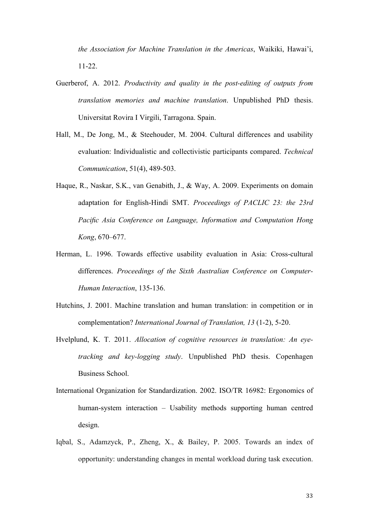*the Association for Machine Translation in the Americas*, Waikiki, Hawai'i, 11-22.

- Guerberof, A. 2012. *Productivity and quality in the post-editing of outputs from translation memories and machine translation*. Unpublished PhD thesis. Universitat Rovira I Virgili, Tarragona. Spain.
- Hall, M., De Jong, M., & Steehouder, M. 2004. Cultural differences and usability evaluation: Individualistic and collectivistic participants compared. *Technical Communication*, 51(4), 489-503.
- Haque, R., Naskar, S.K., van Genabith, J., & Way, A. 2009. Experiments on domain adaptation for English-Hindi SMT. *Proceedings of PACLIC 23: the 23rd Pacific Asia Conference on Language, Information and Computation Hong Kong*, 670–677.
- Herman, L. 1996. Towards effective usability evaluation in Asia: Cross-cultural differences. *Proceedings of the Sixth Australian Conference on Computer-Human Interaction*, 135-136.
- Hutchins, J. 2001. Machine translation and human translation: in competition or in complementation? *International Journal of Translation, 13* (1-2), 5-20.
- Hvelplund, K. T. 2011. *Allocation of cognitive resources in translation: An eyetracking and key-logging study*. Unpublished PhD thesis. Copenhagen Business School.
- International Organization for Standardization. 2002. ISO/TR 16982: Ergonomics of human-system interaction – Usability methods supporting human centred design.
- Iqbal, S., Adamzyck, P., Zheng, X., & Bailey, P. 2005. Towards an index of opportunity: understanding changes in mental workload during task execution.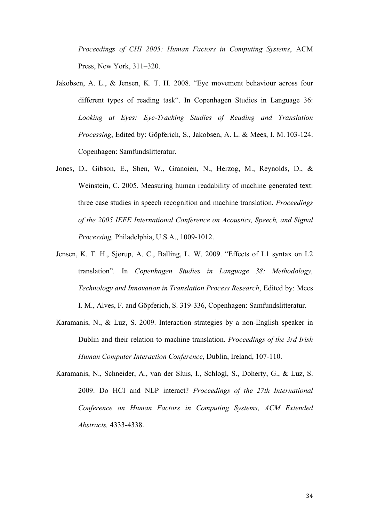*Proceedings of CHI 2005: Human Factors in Computing Systems*, ACM Press, New York, 311–320.

- Jakobsen, A. L., & Jensen, K. T. H. 2008. "Eye movement behaviour across four different types of reading task". In Copenhagen Studies in Language 36: *Looking at Eyes: Eye-Tracking Studies of Reading and Translation Processing*, Edited by: Göpferich, S., Jakobsen, A. L. & Mees, I. M. 103-124. Copenhagen: Samfundslitteratur.
- Jones, D., Gibson, E., Shen, W., Granoien, N., Herzog, M., Reynolds, D., & Weinstein, C. 2005. Measuring human readability of machine generated text: three case studies in speech recognition and machine translation. *Proceedings of the 2005 IEEE International Conference on Acoustics, Speech, and Signal Processing,* Philadelphia, U.S.A., 1009-1012.
- Jensen, K. T. H., Sjørup, A. C., Balling, L. W. 2009. "Effects of L1 syntax on L2 translation". In *Copenhagen Studies in Language 38: Methodology, Technology and Innovation in Translation Process Research*, Edited by: Mees I. M., Alves, F. and Göpferich, S. 319-336, Copenhagen: Samfundslitteratur.
- Karamanis, N., & Luz, S. 2009. Interaction strategies by a non-English speaker in Dublin and their relation to machine translation. *Proceedings of the 3rd Irish Human Computer Interaction Conference*, Dublin, Ireland, 107-110.
- Karamanis, N., Schneider, A., van der Sluis, I., Schlogl, S., Doherty, G., & Luz, S. 2009. Do HCI and NLP interact? *Proceedings of the 27th International Conference on Human Factors in Computing Systems, ACM Extended Abstracts,* 4333-4338.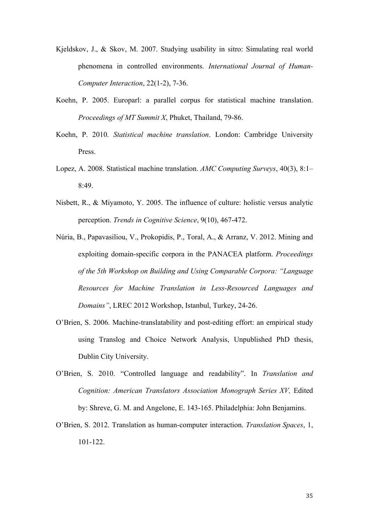- Kjeldskov, J., & Skov, M. 2007. Studying usability in sitro: Simulating real world phenomena in controlled environments. *International Journal of Human-Computer Interaction*, 22(1-2), 7-36.
- Koehn, P. 2005. Europarl: a parallel corpus for statistical machine translation. *Proceedings of MT Summit X*, Phuket, Thailand, 79-86.
- Koehn, P. 2010. *Statistical machine translation*. London: Cambridge University Press.
- Lopez, A. 2008. Statistical machine translation. *AMC Computing Surveys*, 40(3), 8:1– 8:49.
- Nisbett, R., & Miyamoto, Y. 2005. The influence of culture: holistic versus analytic perception. *Trends in Cognitive Science*, 9(10), 467-472.
- Núria, B., Papavasiliou, V., Prokopidis, P., Toral, A., & Arranz, V. 2012. Mining and exploiting domain-specific corpora in the PANACEA platform. *Proceedings of the 5th Workshop on Building and Using Comparable Corpora: "Language Resources for Machine Translation in Less-Resourced Languages and Domains"*, LREC 2012 Workshop, Istanbul, Turkey, 24-26.
- O'Brien, S. 2006. Machine-translatability and post-editing effort: an empirical study using Translog and Choice Network Analysis, Unpublished PhD thesis, Dublin City University.
- O'Brien, S. 2010. "Controlled language and readability". In *Translation and Cognition: American Translators Association Monograph Series XV,* Edited by: Shreve, G. M. and Angelone, E. 143-165. Philadelphia: John Benjamins.
- O'Brien, S. 2012. Translation as human-computer interaction. *Translation Spaces*, 1, 101-122.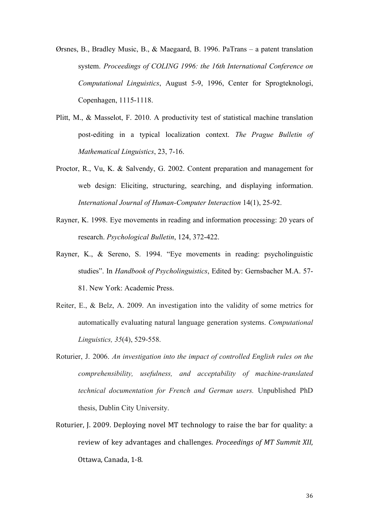- Ørsnes, B., Bradley Music, B., & Maegaard, B. 1996. PaTrans a patent translation system. *Proceedings of COLING 1996: the 16th International Conference on Computational Linguistics*, August 5-9, 1996, Center for Sprogteknologi, Copenhagen, 1115-1118.
- Plitt, M., & Masselot, F. 2010. A productivity test of statistical machine translation post-editing in a typical localization context. *The Prague Bulletin of Mathematical Linguistics*, 23, 7-16.
- Proctor, R., Vu, K. & Salvendy, G. 2002. Content preparation and management for web design: Eliciting, structuring, searching, and displaying information. *International Journal of Human-Computer Interaction* 14(1), 25-92.
- Rayner, K. 1998. Eye movements in reading and information processing: 20 years of research. *Psychological Bulletin*, 124, 372-422.
- Rayner, K., & Sereno, S. 1994. "Eye movements in reading: psycholinguistic studies". In *Handbook of Psycholinguistics*, Edited by: Gernsbacher M.A. 57- 81. New York: Academic Press.
- Reiter, E., & Belz, A. 2009. An investigation into the validity of some metrics for automatically evaluating natural language generation systems. *Computational Linguistics, 35*(4), 529-558.
- Roturier, J. 2006. *An investigation into the impact of controlled English rules on the comprehensibility, usefulness, and acceptability of machine-translated technical documentation for French and German users.* Unpublished PhD thesis, Dublin City University.
- Roturier, J. 2009. Deploying novel MT technology to raise the bar for quality: a review of key advantages and challenges. *Proceedings of MT Summit XII*, Ottawa, Canada, 1-8.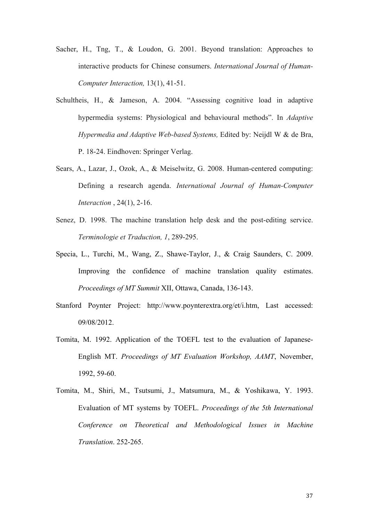- Sacher, H., Tng, T., & Loudon, G. 2001. Beyond translation: Approaches to interactive products for Chinese consumers. *International Journal of Human-Computer Interaction,* 13(1), 41-51.
- Schultheis, H., & Jameson, A. 2004. "Assessing cognitive load in adaptive hypermedia systems: Physiological and behavioural methods". In *Adaptive Hypermedia and Adaptive Web-based Systems,* Edited by: Neijdl W & de Bra, P. 18-24. Eindhoven: Springer Verlag.
- Sears, A., Lazar, J., Ozok, A., & Meiselwitz, G. 2008. Human-centered computing: Defining a research agenda. *International Journal of Human-Computer Interaction* , 24(1), 2-16.
- Senez, D. 1998. The machine translation help desk and the post-editing service. *Terminologie et Traduction, 1*, 289-295.
- Specia, L., Turchi, M., Wang, Z., Shawe-Taylor, J., & Craig Saunders, C. 2009. Improving the confidence of machine translation quality estimates. *Proceedings of MT Summit* XII, Ottawa, Canada, 136-143.
- Stanford Poynter Project: http://www.poynterextra.org/et/i.htm, Last accessed: 09/08/2012.
- Tomita, M. 1992. Application of the TOEFL test to the evaluation of Japanese-English MT. *Proceedings of MT Evaluation Workshop, AAMT*, November, 1992, 59-60.
- Tomita, M., Shiri, M., Tsutsumi, J., Matsumura, M., & Yoshikawa, Y. 1993. Evaluation of MT systems by TOEFL. *Proceedings of the 5th International Conference on Theoretical and Methodological Issues in Machine Translation*. 252-265.